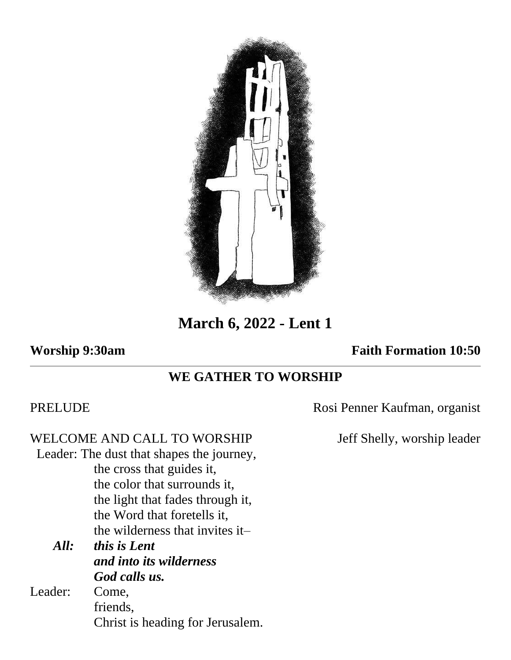

**March 6, 2022 - Lent 1**

## **Worship 9:30am Faith Formation 10:50**

# **WE GATHER TO WORSHIP**

WELCOME AND CALL TO WORSHIP Jeff Shelly, worship leader Leader: The dust that shapes the journey, the cross that guides it, the color that surrounds it, the light that fades through it, the Word that foretells it, the wilderness that invites it– *All: this is Lent and into its wilderness God calls us.* Leader: Come, friends, Christ is heading for Jerusalem.

PRELUDE Rosi Penner Kaufman, organist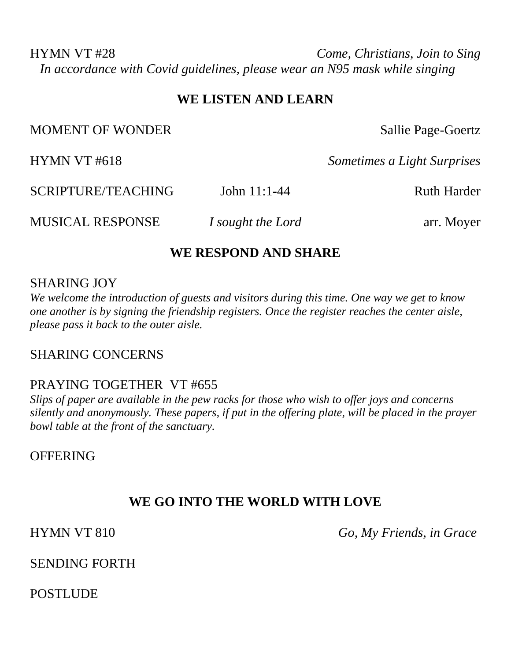HYMN VT #28 *Come, Christians, Join to Sing In accordance with Covid guidelines, please wear an N95 mask while singing*

#### **WE LISTEN AND LEARN**

MOMENT OF WONDER Sallie Page-Goertz

HYMN VT #618 *Sometimes a Light Surprises*

SCRIPTURE/TEACHING John 11:1-44 Ruth Harder

MUSICAL RESPONSE *I sought the Lord* arr. Moyer

### **WE RESPOND AND SHARE**

#### SHARING JOY

*We welcome the introduction of guests and visitors during this time. One way we get to know one another is by signing the friendship registers. Once the register reaches the center aisle, please pass it back to the outer aisle.*

### SHARING CONCERNS

### PRAYING TOGETHER VT #655

*Slips of paper are available in the pew racks for those who wish to offer joys and concerns silently and anonymously. These papers, if put in the offering plate, will be placed in the prayer bowl table at the front of the sanctuary.* 

**OFFERING** 

## **WE GO INTO THE WORLD WITH LOVE**

HYMN VT 810 *Go, My Friends, in Grace*

SENDING FORTH

POSTLUDE